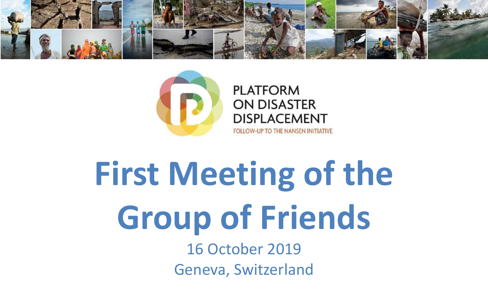



# **First Meeting of the Group of Friends**

16 October 2019 Geneva, Switzerland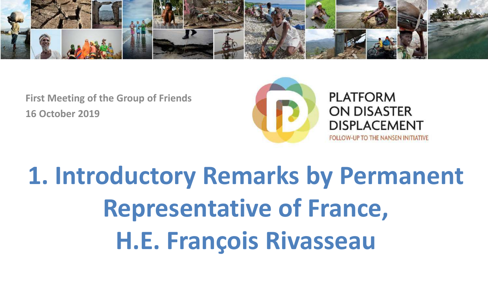



**PLATFORM ON DISASTER DISPLACEMENT FOLLOW-UP TO THE NANSEN INITIATIVE** 

**1. Introductory Remarks by Permanent Representative of France, H.E. François Rivasseau**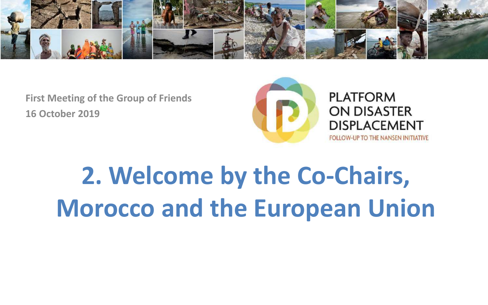



**PLATFORM ON DISASTER DISPLACEMENT FOLLOW-UP TO THE NANSEN INITIATIVE** 

**2. Welcome by the Co-Chairs, Morocco and the European Union**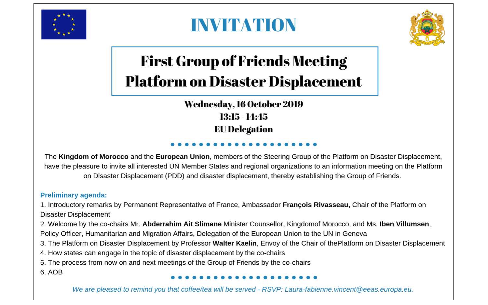

#### **INVITATION**



#### **First Group of Friends Meeting Platform on Disaster Displacement**

**Wednesday, 16 October 2019**  $13:15 - 14:45$ **EU Delegation** 

The Kingdom of Morocco and the European Union, members of the Steering Group of the Platform on Disaster Displacement. have the pleasure to invite all interested UN Member States and regional organizations to an information meeting on the Platform on Disaster Displacement (PDD) and disaster displacement, thereby establishing the Group of Friends.

#### **Preliminary agenda:**

1. Introductory remarks by Permanent Representative of France, Ambassador François Rivasseau, Chair of the Platform on Disaster Displacement

2. Welcome by the co-chairs Mr. Abderrahim Ait Slimane Minister Counsellor, Kingdomof Morocco, and Ms. Iben Villumsen,

- Policy Officer, Humanitarian and Migration Affairs, Delegation of the European Union to the UN in Geneva
- 3. The Platform on Disaster Displacement by Professor Walter Kaelin, Envoy of the Chair of thePlatform on Disaster Displacement
- 4. How states can engage in the topic of disaster displacement by the co-chairs
- 5. The process from now on and next meetings of the Group of Friends by the co-chairs

6. AOB

We are pleased to remind you that coffee/tea will be served - RSVP: Laura-fabienne.vincent@eeas.europa.eu.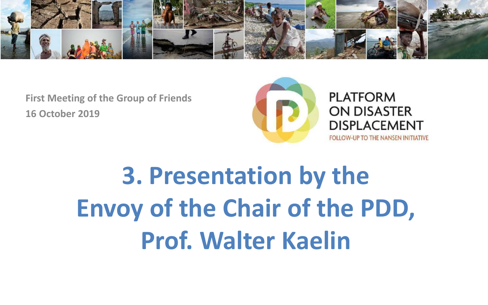



**PLATFORM ON DISASTER DISPLACEMENT** 

**FOLLOW-UP TO THE NANSEN INITIATIVE** 

## **3. Presentation by the Envoy of the Chair of the PDD, Prof. Walter Kaelin**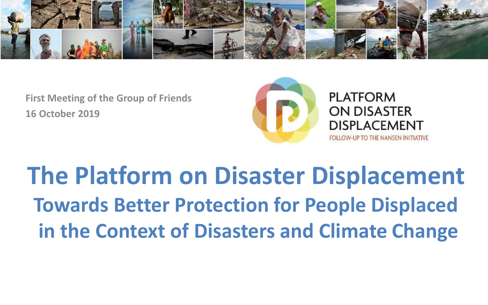



### **The Platform on Disaster Displacement Towards Better Protection for People Displaced in the Context of Disasters and Climate Change**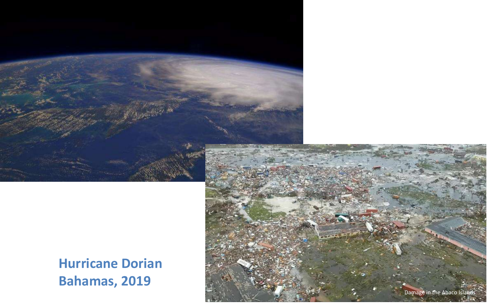



**Hurricane Dorian Bahamas, 2019**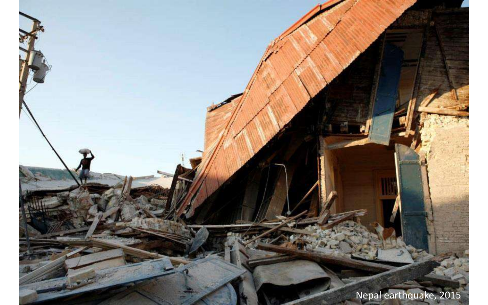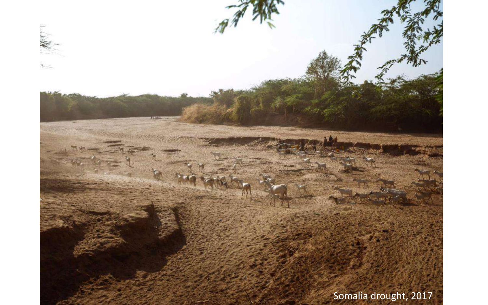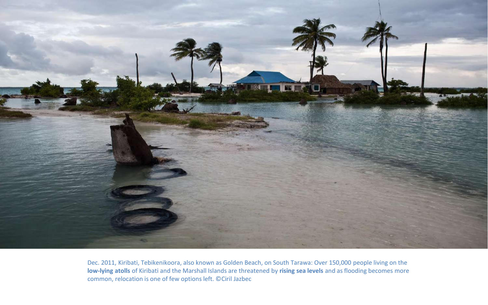![](_page_9_Picture_0.jpeg)

Dec. 2011, Kiribati, Tebikenikoora, also known as Golden Beach, on South Tarawa: Over 150,000 people living on the **low-lying atolls** of Kiribati and the Marshall Islands are threatened by **rising sea levels** and as flooding becomes more common, relocation is one of few options left. ©Ciril Jazbec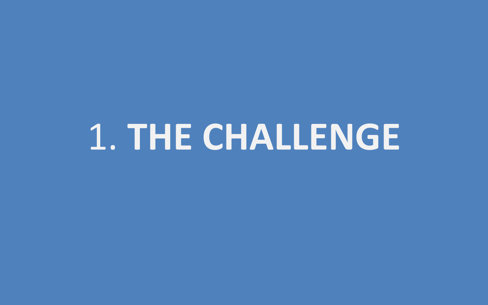# 1. **THE CHALLENGE**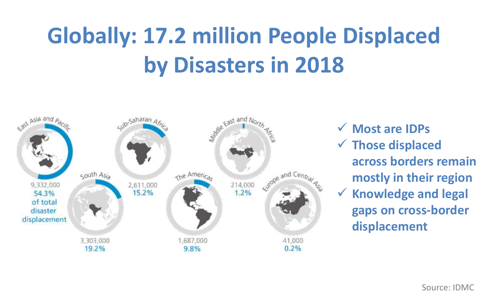### **Globally: 17.2 million People Displaced by Disasters in 2018**

![](_page_11_Figure_1.jpeg)

 **Most are IDPs Those displaced across borders remain mostly in their region Knowledge and legal** 

**gaps on cross-border displacement**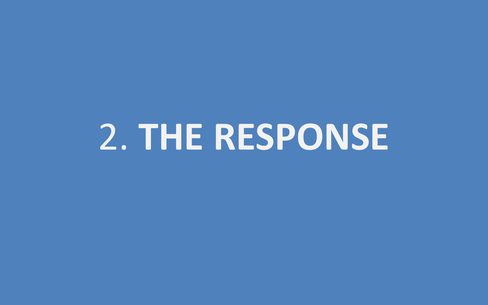# 2. **THE RESPONSE**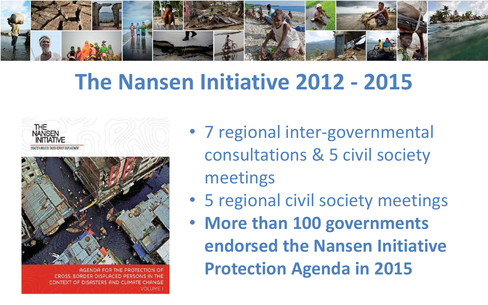![](_page_13_Picture_0.jpeg)

#### **The Nansen Initiative 2012 - 2015**

![](_page_13_Picture_2.jpeg)

![](_page_13_Picture_3.jpeg)

AGENDA FOR THE PROTECTION OF CROSS-BORDER DISPLACED PERSONS CONTEXT OF DISASTERS AND CLIMATE CHANGE **VOLUME** 

- 7 regional inter-governmental consultations & 5 civil society meetings
- 5 regional civil society meetings
- **More than 100 governments endorsed the Nansen Initiative Protection Agenda in 2015**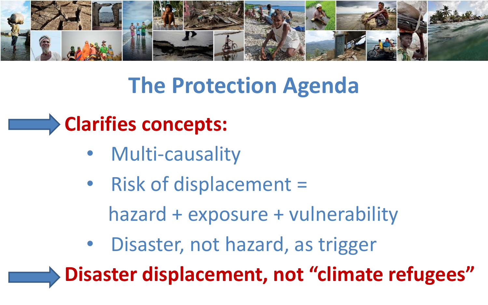![](_page_14_Picture_0.jpeg)

### **The Protection Agenda**

#### **Clarifies concepts:**

- Multi-causality
- Risk of displacement = hazard + exposure + vulnerability
- Disaster, not hazard, as trigger

**Disaster displacement, not "climate refugees"**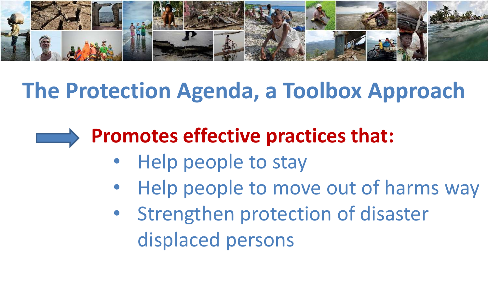![](_page_15_Picture_0.jpeg)

### **The Protection Agenda, a Toolbox Approach**

![](_page_15_Picture_2.jpeg)

#### **Promotes effective practices that:**

- Help people to stay
- Help people to move out of harms way
- Strengthen protection of disaster displaced persons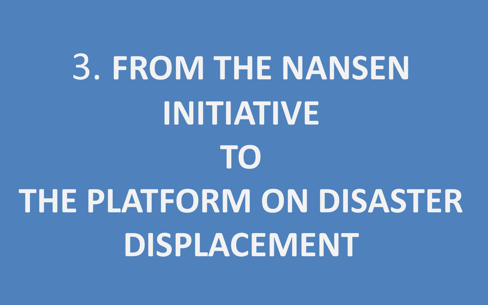# 3. **FROM THE NANSEN INITIATIVE TO THE PLATFORM ON DISASTER DISPLACEMENT**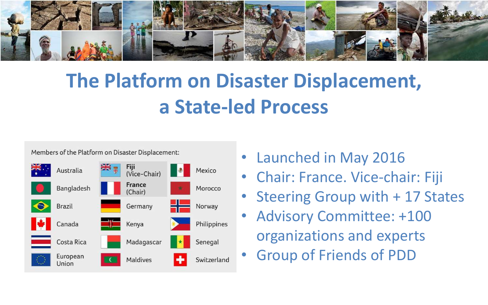![](_page_17_Picture_0.jpeg)

#### **The Platform on Disaster Displacement, a State-led Process**

Members of the Platform on Disaster Displacement:

![](_page_17_Figure_3.jpeg)

- Launched in May 2016
- Chair: France. Vice-chair: Fiji
- Steering Group with + 17 States
- Advisory Committee: +100 organizations and experts
- Group of Friends of PDD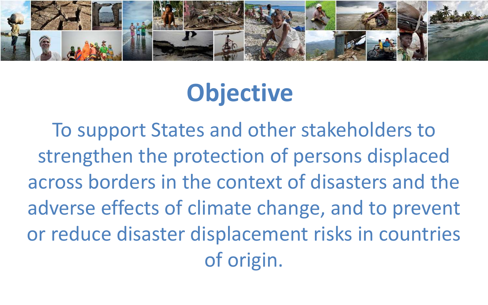![](_page_18_Picture_0.jpeg)

### **Objective**

To support States and other stakeholders to strengthen the protection of persons displaced across borders in the context of disasters and the adverse effects of climate change, and to prevent or reduce disaster displacement risks in countries of origin.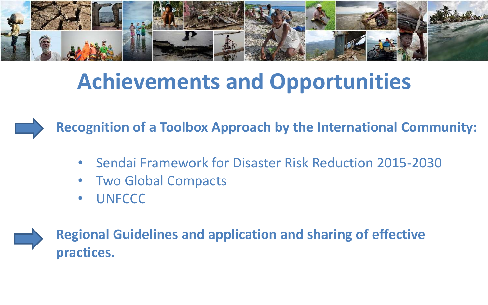![](_page_19_Picture_0.jpeg)

#### **Achievements and Opportunities**

**Recognition of a Toolbox Approach by the International Community:**

- Sendai Framework for Disaster Risk Reduction 2015-2030
- Two Global Compacts
- UNFCCC

![](_page_19_Picture_6.jpeg)

**Regional Guidelines and application and sharing of effective practices.**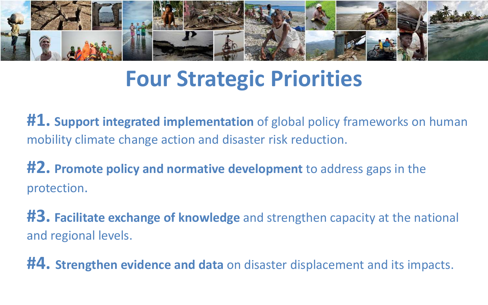![](_page_20_Picture_0.jpeg)

#### **Four Strategic Priorities**

**#1. Support integrated implementation** of global policy frameworks on human mobility climate change action and disaster risk reduction.

**#2. Promote policy and normative development** to address gaps in the protection.

**#3. Facilitate exchange of knowledge** and strengthen capacity at the national and regional levels.

**#4. Strengthen evidence and data** on disaster displacement and its impacts.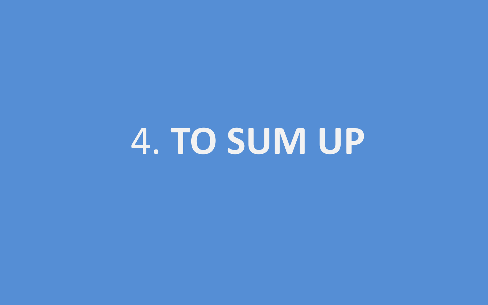4. **TO SUM UP**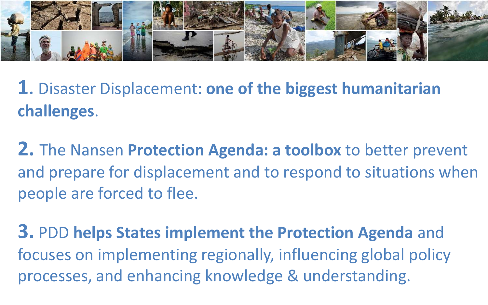![](_page_22_Picture_0.jpeg)

**1**. Disaster Displacement: **one of the biggest humanitarian challenges**.

**2.** The Nansen **Protection Agenda: a toolbox** to better prevent and prepare for displacement and to respond to situations when people are forced to flee.

**3.** PDD **helps States implement the Protection Agenda** and focuses on implementing regionally, influencing global policy processes, and enhancing knowledge & understanding.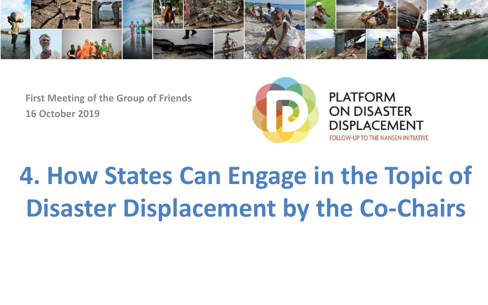![](_page_23_Picture_0.jpeg)

![](_page_23_Picture_2.jpeg)

**PLATFORM ON DISASTER DISPLACEMENT FOLLOW-UP TO THE NANSEN INITIATIVE** 

**4. How States Can Engage in the Topic of Disaster Displacement by the Co-Chairs**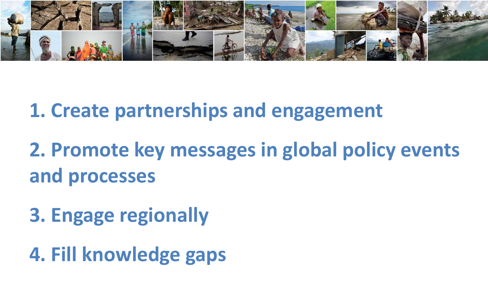![](_page_24_Picture_0.jpeg)

**1. Create partnerships and engagement**

- **2. Promote key messages in global policy events and processes**
- **3. Engage regionally**
- **4. Fill knowledge gaps**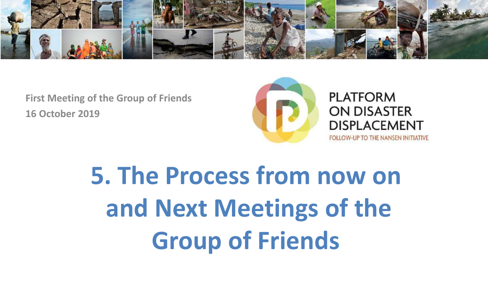![](_page_25_Picture_0.jpeg)

![](_page_25_Picture_2.jpeg)

**PLATFORM ON DISASTER DISPLACEMENT** 

**FOLLOW-UP TO THE NANSEN INITIATIVE** 

## **5. The Process from now on and Next Meetings of the Group of Friends**